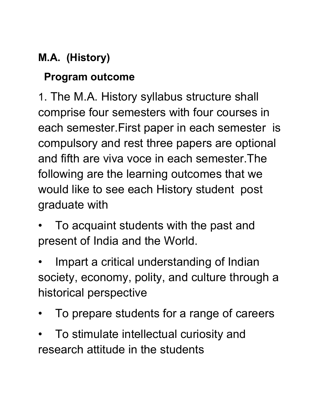#### **M.A. (History)**

#### **Program outcome**

1. The M.A. History syllabus structure shall comprise four semesters with four courses in each semester.First paper in each semester is compulsory and rest three papers are optional and fifth are viva voce in each semester.The following are the learning outcomes that we would like to see each History student post graduate with

- To acquaint students with the past and present of India and the World.
- Impart a critical understanding of Indian society, economy, polity, and culture through a historical perspective
- To prepare students for a range of careers
- To stimulate intellectual curiosity and research attitude in the students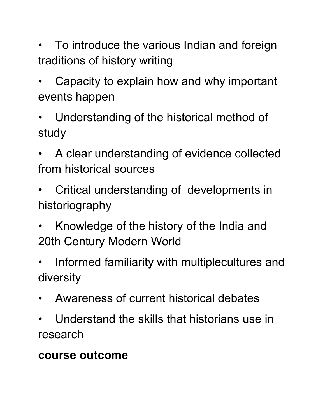- To introduce the various Indian and foreign traditions of history writing
- Capacity to explain how and why important events happen
- Understanding of the historical method of study
- A clear understanding of evidence collected from historical sources
- Critical understanding of developments in historiography
- Knowledge of the history of the India and 20th Century Modern World
- Informed familiarity with multiplecultures and diversity
- Awareness of current historical debates
- Understand the skills that historians use in research

#### **course outcome**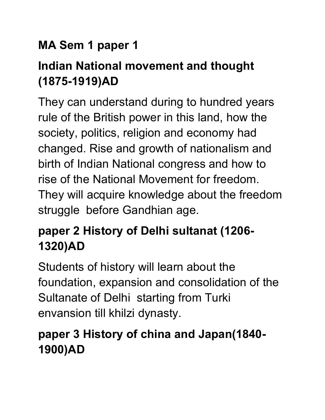#### **MA Sem 1 paper 1**

# **Indian National movement and thought (1875-1919)AD**

They can understand during to hundred years rule of the British power in this land, how the society, politics, religion and economy had changed. Rise and growth of nationalism and birth of Indian National congress and how to rise of the National Movement for freedom. They will acquire knowledge about the freedom struggle before Gandhian age.

# **paper 2 History of Delhi sultanat (1206- 1320)AD**

Students of history will learn about the foundation, expansion and consolidation of the Sultanate of Delhi starting from Turki envansion till khilzi dynasty.

### **paper 3 History of china and Japan(1840- 1900)AD**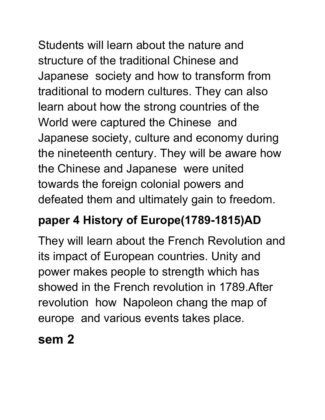Students will learn about the nature and structure of the traditional Chinese and Japanese society and how to transform from traditional to modern cultures. They can also learn about how the strong countries of the World were captured the Chinese and Japanese society, culture and economy during the nineteenth century. They will be aware how the Chinese and Japanese were united towards the foreign colonial powers and

defeated them and ultimately gain to freedom.

#### **paper 4 History of Europe(1789-1815)AD**

They will learn about the French Revolution and its impact of European countries. Unity and power makes people to strength which has showed in the French revolution in 1789.After revolution how Napoleon chang the map of europe and various events takes place.

**sem 2**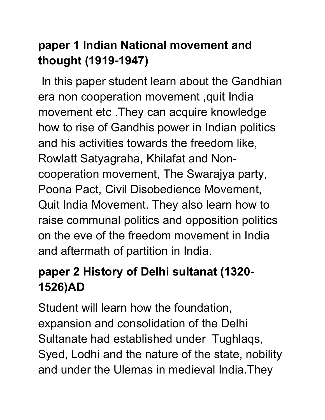## **paper 1 Indian National movement and thought (1919-1947)**

In this paper student learn about the Gandhian era non cooperation movement ,quit India movement etc .They can acquire knowledge how to rise of Gandhis power in Indian politics and his activities towards the freedom like, Rowlatt Satyagraha, Khilafat and Non cooperation movement, The Swarajya party, Poona Pact, Civil Disobedience Movement, Quit India Movement. They also learn how to raise communal politics and opposition politics on the eve of the freedom movement in India and aftermath of partition in India.

## **paper 2 History of Delhi sultanat (1320- 1526)AD**

Student will learn how the foundation, expansion and consolidation of the Delhi Sultanate had established under Tughlaqs, Syed, Lodhi and the nature of the state, nobility and under the Ulemas in medieval India.They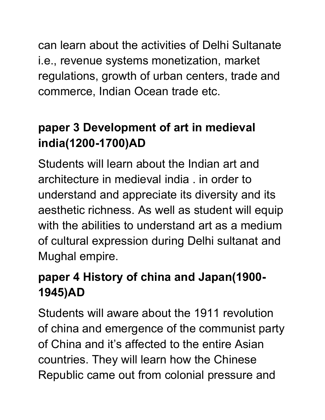can learn about the activities of Delhi Sultanate i.e., revenue systems monetization, market regulations, growth of urban centers, trade and commerce, Indian Ocean trade etc.

#### **paper 3 Development of art in medieval india(1200-1700)AD**

Students will learn about the Indian art and architecture in medieval india, in order to understand and appreciate its diversity and its aesthetic richness. As well as student will equip with the abilities to understand art as a medium of cultural expression during Delhi sultanat and Mughal empire.

#### **paper 4 History of china and Japan(1900- 1945)AD**

Students will aware about the 1911 revolution of china and emergence of the communist party of China and it's affected to the entire Asian countries. They will learn how the Chinese Republic came out from colonial pressure and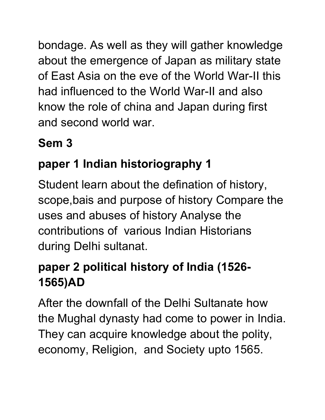bondage. As well as they will gather knowledge about the emergence of Japan as military state of East Asia on the eve of the World War-II this had influenced to the World War-II and also know the role of china and Japan during first and second world war.

### **Sem 3**

# **paper 1 Indian historiography 1**

Student learn about the defination of history, scope,bais and purpose of history Compare the uses and abuses of history Analyse the contributions of various Indian Historians during Delhi sultanat.

## **paper 2 political history of India (1526- 1565)AD**

After the downfall of the Delhi Sultanate how the Mughal dynasty had come to power in India. They can acquire knowledge about the polity, economy, Religion, and Society upto 1565.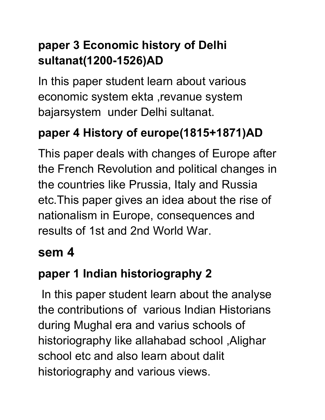### **paper 3 Economic history of Delhi sultanat(1200-1526)AD**

In this paper student learn about various economic system ekta ,revanue system bajarsystem under Delhi sultanat.

# **paper 4 History of europe(1815+1871)AD**

This paper deals with changes of Europe after the French Revolution and political changes in the countries like Prussia, Italy and Russia etc.This paper gives an idea about the rise of nationalism in Europe, consequences and results of 1st and 2nd World War.

## **sem 4**

# **paper 1 Indian historiography 2**

In this paper student learn about the analyse the contributions of various Indian Historians during Mughal era and varius schools of historiography like allahabad school ,Alighar school etc and also learn about dalit historiography and various views.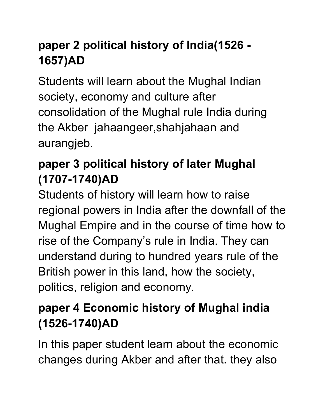## **paper 2 political history of India(1526 - 1657)AD**

Students will learn about the Mughal Indian society, economy and culture after consolidation of the Mughal rule India during the Akber jahaangeer,shahjahaan and aurangjeb.

## **paper 3 political history of later Mughal (1707-1740)AD**

Students of history will learn how to raise regional powers in India after the downfall of the Mughal Empire and in the course of time how to rise of the Company's rule in India. They can understand during to hundred years rule of the British power in this land, how the society, politics, religion and economy.

## **paper 4 Economic history of Mughal india (1526-1740)AD**

In this paper student learn about the economic changes during Akber and after that. they also